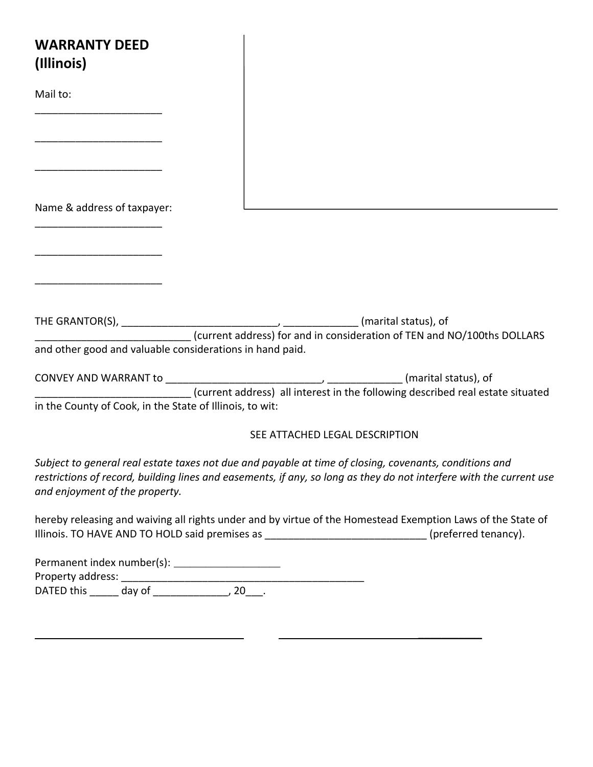| <b>WARRANTY DEED</b><br>(Illinois)                           |                                                          |  |  |  |
|--------------------------------------------------------------|----------------------------------------------------------|--|--|--|
| Mail to:                                                     |                                                          |  |  |  |
|                                                              |                                                          |  |  |  |
| Name & address of taxpayer:                                  |                                                          |  |  |  |
| <u> 1980 - Jan James James Barbara, martxa eta idazlea (</u> |                                                          |  |  |  |
|                                                              |                                                          |  |  |  |
|                                                              | and other good and valuable considerations in hand paid. |  |  |  |
| in the County of Cook, in the State of Illinois, to wit:     |                                                          |  |  |  |
| SEE ATTACHED LEGAL DESCRIPTION                               |                                                          |  |  |  |

*Subject to general real estate taxes not due and payable at time of closing, covenants, conditions and restrictions of record, building lines and easements, if any, so long as they do not interfere with the current use and enjoyment of the property.*

hereby releasing and waiving all rights under and by virtue of the Homestead Exemption Laws of the State of Illinois. TO HAVE AND TO HOLD said premises as \_\_\_\_\_\_\_\_\_\_\_\_\_\_\_\_\_\_\_\_\_\_\_\_\_\_\_\_(preferred tenancy).

 $\mathcal{L}$  , we have the set of  $\mathcal{L}$ 

| Permanent index number(s): |        |  |  |  |  |  |
|----------------------------|--------|--|--|--|--|--|
| Property address:          |        |  |  |  |  |  |
| DATED this                 | day of |  |  |  |  |  |